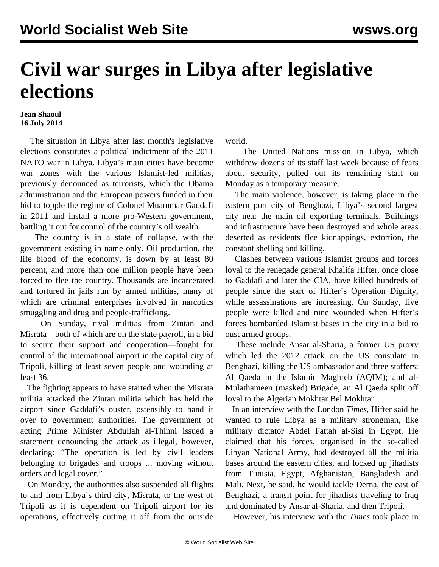## **Civil war surges in Libya after legislative elections**

## **Jean Shaoul 16 July 2014**

 The situation in Libya after last month's legislative elections constitutes a political indictment of the 2011 NATO war in Libya. Libya's main cities have become war zones with the various Islamist-led militias, previously denounced as terrorists, which the Obama administration and the European powers funded in their bid to topple the regime of Colonel Muammar Gaddafi in 2011 and install a more pro-Western government, battling it out for control of the country's oil wealth.

 The country is in a state of collapse, with the government existing in name only. Oil production, the life blood of the economy, is down by at least 80 percent, and more than one million people have been forced to flee the country. Thousands are incarcerated and tortured in jails run by armed militias, many of which are criminal enterprises involved in narcotics smuggling and drug and people-trafficking.

 On Sunday, rival militias from Zintan and Misrata—both of which are on the state payroll, in a bid to secure their support and cooperation—fought for control of the international airport in the capital city of Tripoli, killing at least seven people and wounding at least 36.

 The fighting appears to have started when the Misrata militia attacked the Zintan militia which has held the airport since Gaddafi's ouster, ostensibly to hand it over to government authorities. The government of acting Prime Minister Abdullah al-Thinni issued a statement denouncing the attack as illegal, however, declaring: "The operation is led by civil leaders belonging to brigades and troops ... moving without orders and legal cover."

 On Monday, the authorities also suspended all flights to and from Libya's third city, Misrata, to the west of Tripoli as it is dependent on Tripoli airport for its operations, effectively cutting it off from the outside world.

 The United Nations mission in Libya, which withdrew dozens of its staff last week because of fears about security, pulled out its remaining staff on Monday as a temporary measure.

 The main violence, however, is taking place in the eastern port city of Benghazi, Libya's second largest city near the main oil exporting terminals. Buildings and infrastructure have been destroyed and whole areas deserted as residents flee kidnappings, extortion, the constant shelling and killing.

 Clashes between various Islamist groups and forces loyal to the renegade general Khalifa Hifter, once close to Gaddafi and later the CIA, have killed hundreds of people since the start of Hifter's Operation Dignity, while assassinations are increasing. On Sunday, five people were killed and nine wounded when Hifter's forces bombarded Islamist bases in the city in a bid to oust armed groups.

 These include Ansar al-Sharia, a former US proxy which led the 2012 attack on the US consulate in Benghazi, killing the US ambassador and three staffers; Al Qaeda in the Islamic Maghreb (AQIM); and al-Mulathameen (masked) Brigade, an Al Qaeda split off loyal to the Algerian Mokhtar Bel Mokhtar.

 In an interview with the London *Times,* Hifter said he wanted to rule Libya as a military strongman, like military dictator Abdel Fattah al-Sisi in Egypt. He claimed that his forces, organised in the so-called Libyan National Army, had destroyed all the militia bases around the eastern cities, and locked up jihadists from Tunisia, Egypt, Afghanistan, Bangladesh and Mali. Next, he said, he would tackle Derna, the east of Benghazi, a transit point for jihadists traveling to Iraq and dominated by Ansar al-Sharia, and then Tripoli.

However, his interview with the *Times* took place in